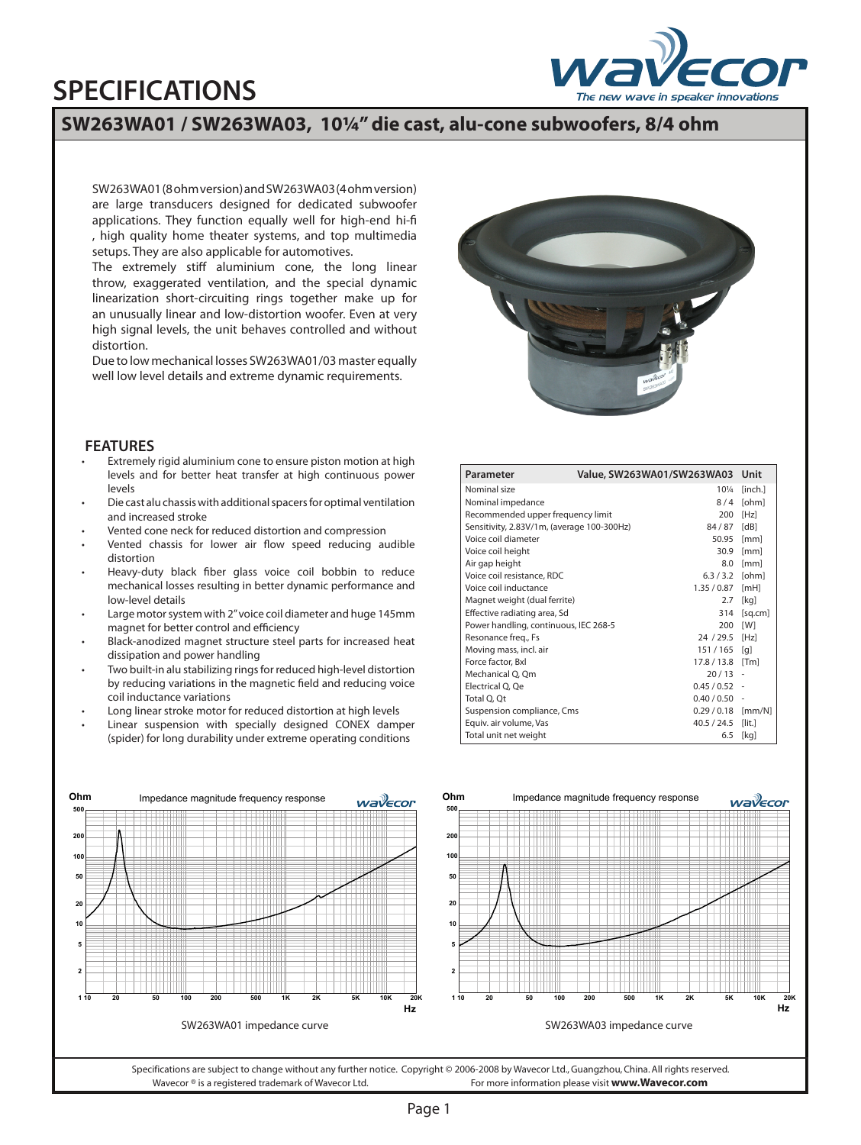## **SPECIFICATIONS**



## **SW263WA01 / SW263WA03, 10¼" die cast, alu-cone subwoofers, 8/4 ohm**

SW263WA01 (8 ohm version) and SW263WA03 (4 ohm version) are large transducers designed for dedicated subwoofer applications. They function equally well for high-end hi-fi , high quality home theater systems, and top multimedia setups. They are also applicable for automotives.

The extremely stiff aluminium cone, the long linear throw, exaggerated ventilation, and the special dynamic linearization short-circuiting rings together make up for an unusually linear and low-distortion woofer. Even at very high signal levels, the unit behaves controlled and without distortion.

Due to low mechanical losses SW263WA01/03 master equally well low level details and extreme dynamic requirements.



## **FEATURES**

- Extremely rigid aluminium cone to ensure piston motion at high levels and for better heat transfer at high continuous power levels •
- Die cast alu chassis with additional spacers for optimal ventilation and increased stroke •
- Vented cone neck for reduced distortion and compression •
- Vented chassis for lower air flow speed reducing audible distortion •
- Heavy-duty black fiber glass voice coil bobbin to reduce mechanical losses resulting in better dynamic performance and low-level details •
- Large motor system with 2" voice coil diameter and huge 145mm magnet for better control and efficiency •
- Black-anodized magnet structure steel parts for increased heat dissipation and power handling •
- Two built-in alu stabilizing rings for reduced high-level distortion by reducing variations in the magnetic field and reducing voice coil inductance variations •
- Long linear stroke motor for reduced distortion at high levels •
- Linear suspension with specially designed CONEX damper (spider) for long durability under extreme operating conditions •

| Parameter                                    |  | Value, SW263WA01/SW263WA03 Unit |                            |
|----------------------------------------------|--|---------------------------------|----------------------------|
| Nominal size                                 |  | $10\frac{1}{4}$                 | [inch.]                    |
| Nominal impedance                            |  | 8/4                             | [ohm]                      |
| Recommended upper frequency limit            |  | 200                             | [Hz]                       |
| Sensitivity, 2.83V/1m, (average 100-300Hz)   |  | 84/87                           | [dB]                       |
| Voice coil diameter                          |  | 50.95                           | [mm]                       |
| Voice coil height                            |  | 30.9                            | [mm]                       |
| Air gap height                               |  | 8.0                             | [mm]                       |
| Voice coil resistance, RDC                   |  | 6.3/3.2                         | [ohm]                      |
| Voice coil inductance                        |  | 1.35/0.87                       | [mH]                       |
| Magnet weight (dual ferrite)                 |  | 2.7                             | [kq]                       |
| Effective radiating area, Sd                 |  | 314                             | [sq.cm]                    |
| Power handling, continuous, IEC 268-5<br>200 |  | [W]                             |                            |
| Resonance freg., Fs                          |  | 24 / 29.5 [Hz]                  |                            |
| Moving mass, incl. air                       |  | $151/165$ [q]                   |                            |
| Force factor, Bxl                            |  | 17.8 / 13.8                     | [Tm]                       |
| Mechanical Q, Qm                             |  | 20/13                           | $\overline{a}$             |
| Electrical Q, Qe                             |  | 0.45/0.52                       |                            |
| Total Q, Qt                                  |  | 0.40 / 0.50                     |                            |
| Suspension compliance, Cms                   |  | 0.29/0.18                       | $\left[\text{mm/N}\right]$ |
| Equiv. air volume, Vas                       |  | 40.5 / 24.5                     | $[$ lit. $]$               |
| Total unit net weight                        |  | 6.5                             | [kq]                       |



Specifications are subject to change without any further notice. Copyright © 2006-2008 by Wavecor Ltd., Guangzhou, China. All rights reserved. Wavecor ® is a registered trademark of Wavecor Ltd. For more information please visit **www.Wavecor.com**